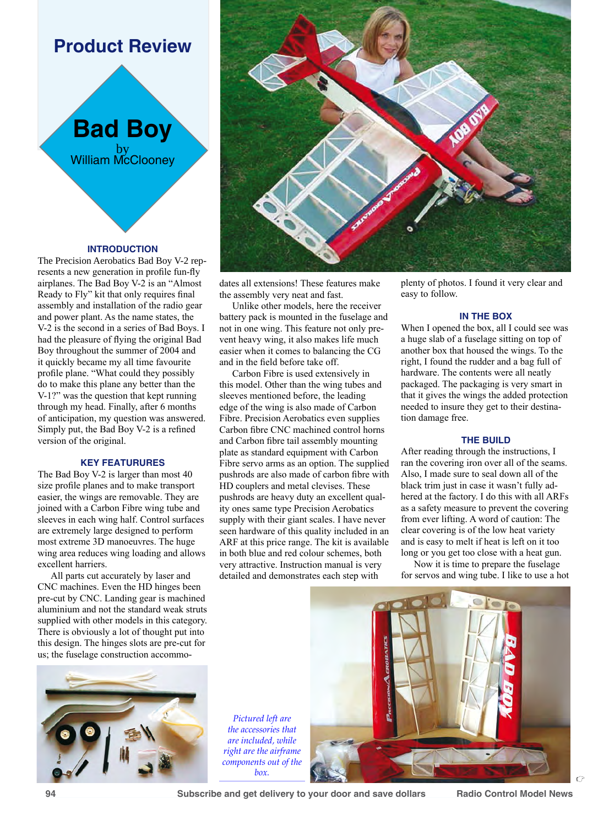# **Product Review**



### **INTRODUCTION**

The Precision Aerobatics Bad Boy V-2 represents a new generation in profile fun-fly airplanes. The Bad Boy V-2 is an "Almost Ready to Fly" kit that only requires final assembly and installation of the radio gear and power plant. As the name states, the V-2 is the second in a series of Bad Boys. I had the pleasure of flying the original Bad Boy throughout the summer of 2004 and it quickly became my all time favourite profile plane. "What could they possibly do to make this plane any better than the V-1?" was the question that kept running through my head. Finally, after 6 months of anticipation, my question was answered. Simply put, the Bad Boy V-2 is a refined version of the original.

# **KEY FEATURURES**

The Bad Boy V-2 is larger than most 40 size profile planes and to make transport easier, the wings are removable. They are joined with a Carbon Fibre wing tube and sleeves in each wing half. Control surfaces are extremely large designed to perform most extreme 3D manoeuvres. The huge wing area reduces wing loading and allows excellent harriers.

All parts cut accurately by laser and CNC machines. Even the HD hinges been pre-cut by CNC. Landing gear is machined aluminium and not the standard weak struts supplied with other models in this category. There is obviously a lot of thought put into this design. The hinges slots are pre-cut for us; the fuselage construction accommo-





dates all extensions! These features make the assembly very neat and fast.

Unlike other models, here the receiver battery pack is mounted in the fuselage and not in one wing. This feature not only prevent heavy wing, it also makes life much easier when it comes to balancing the CG and in the field before take off.

Carbon Fibre is used extensively in this model. Other than the wing tubes and sleeves mentioned before, the leading edge of the wing is also made of Carbon Fibre. Precision Aerobatics even supplies Carbon fibre CNC machined control horns and Carbon fibre tail assembly mounting plate as standard equipment with Carbon Fibre servo arms as an option. The supplied pushrods are also made of carbon fibre with HD couplers and metal clevises. These pushrods are heavy duty an excellent quality ones same type Precision Aerobatics supply with their giant scales. I have never seen hardware of this quality included in an ARF at this price range. The kit is available in both blue and red colour schemes, both very attractive. Instruction manual is very detailed and demonstrates each step with

plenty of photos. I found it very clear and easy to follow.

#### **IN THE BOX**

When I opened the box, all I could see was a huge slab of a fuselage sitting on top of another box that housed the wings. To the right, I found the rudder and a bag full of hardware. The contents were all neatly packaged. The packaging is very smart in that it gives the wings the added protection needed to insure they get to their destination damage free.

### **THE BUILD**

After reading through the instructions, I ran the covering iron over all of the seams. Also, I made sure to seal down all of the black trim just in case it wasn't fully adhered at the factory. I do this with all ARFs as a safety measure to prevent the covering from ever lifting. A word of caution: The clear covering is of the low heat variety and is easy to melt if heat is left on it too long or you get too close with a heat gun.

Now it is time to prepare the fuselage for servos and wing tube. I like to use a hot

*Pictured left are the accessories that are included, while right are the airframe components out of the box.*



**94 Subscribe and get delivery to your door and save dollars Radio Control Model News**

 $\Gamma$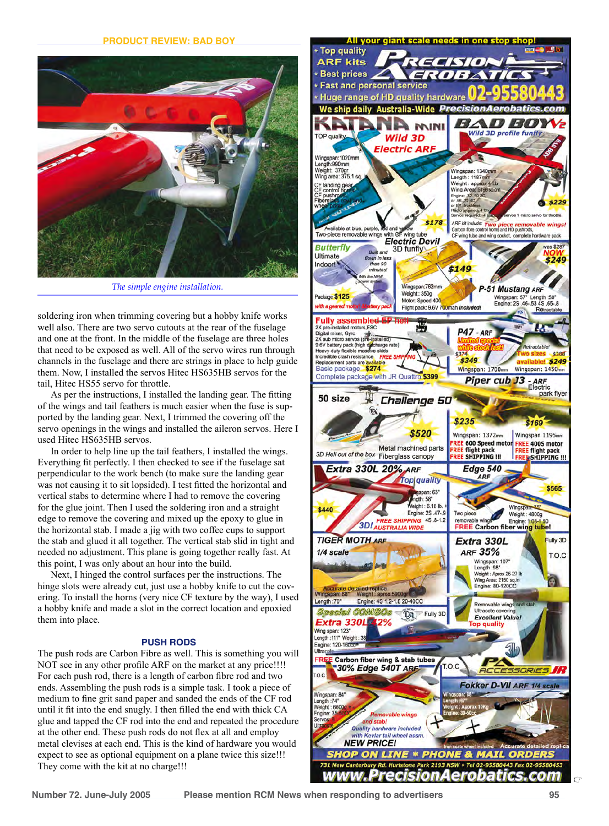

*The simple engine installation.*

soldering iron when trimming covering but a hobby knife works well also. There are two servo cutouts at the rear of the fuselage and one at the front. In the middle of the fuselage are three holes that need to be exposed as well. All of the servo wires run through channels in the fuselage and there are strings in place to help guide them. Now, I installed the servos Hitec HS635HB servos for the tail, Hitec HS55 servo for throttle.

As per the instructions, I installed the landing gear. The fitting of the wings and tail feathers is much easier when the fuse is supported by the landing gear. Next, I trimmed the covering off the servo openings in the wings and installed the aileron servos. Here I used Hitec HS635HB servos.

In order to help line up the tail feathers, I installed the wings. Everything fit perfectly. I then checked to see if the fuselage sat perpendicular to the work bench (to make sure the landing gear was not causing it to sit lopsided). I test fitted the horizontal and vertical stabs to determine where I had to remove the covering for the glue joint. Then I used the soldering iron and a straight edge to remove the covering and mixed up the epoxy to glue in the horizontal stab. I made a jig with two coffee cups to support the stab and glued it all together. The vertical stab slid in tight and needed no adjustment. This plane is going together really fast. At this point, I was only about an hour into the build.

Next, I hinged the control surfaces per the instructions. The hinge slots were already cut, just use a hobby knife to cut the covering. To install the horns (very nice CF texture by the way), I used a hobby knife and made a slot in the correct location and epoxied them into place.

# **PUSH RODS**

The push rods are Carbon Fibre as well. This is something you will NOT see in any other profile ARF on the market at any price!!!! For each push rod, there is a length of carbon fibre rod and two ends. Assembling the push rods is a simple task. I took a piece of medium to fine grit sand paper and sanded the ends of the CF rod until it fit into the end snugly. I then filled the end with thick CA glue and tapped the CF rod into the end and repeated the procedure at the other end. These push rods do not flex at all and employ metal clevises at each end. This is the kind of hardware you would expect to see as optional equipment on a plane twice this size!!! They come with the kit at no charge!!!